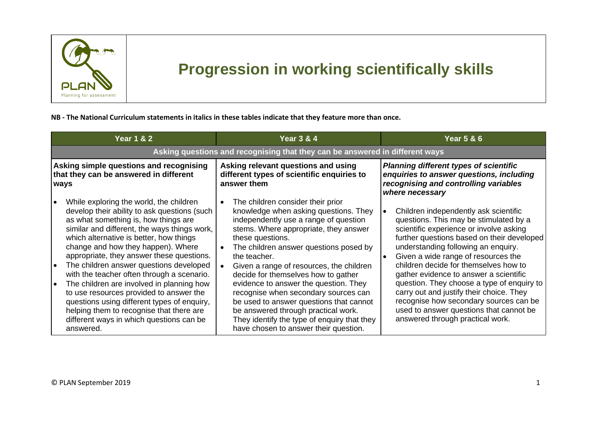

## **Progression in working scientifically skills**

## **NB - The National Curriculum statements in italics in these tables indicate that they feature more than once.**

| <b>Year 1 &amp; 2</b>                                                                                                                                                                                                                                                                                                                                                                                                                                                                                                                                                                                                                                                                     | <b>Year 3 &amp; 4</b>                                                                                                                                                                                                                                                                                                                                                                                                                                                                                                                                                                    | <b>Year 5 &amp; 6</b>                                                                                                                                                                                                                                                                                                                                                                                                                                                                                                                                                     |  |
|-------------------------------------------------------------------------------------------------------------------------------------------------------------------------------------------------------------------------------------------------------------------------------------------------------------------------------------------------------------------------------------------------------------------------------------------------------------------------------------------------------------------------------------------------------------------------------------------------------------------------------------------------------------------------------------------|------------------------------------------------------------------------------------------------------------------------------------------------------------------------------------------------------------------------------------------------------------------------------------------------------------------------------------------------------------------------------------------------------------------------------------------------------------------------------------------------------------------------------------------------------------------------------------------|---------------------------------------------------------------------------------------------------------------------------------------------------------------------------------------------------------------------------------------------------------------------------------------------------------------------------------------------------------------------------------------------------------------------------------------------------------------------------------------------------------------------------------------------------------------------------|--|
| Asking questions and recognising that they can be answered in different ways                                                                                                                                                                                                                                                                                                                                                                                                                                                                                                                                                                                                              |                                                                                                                                                                                                                                                                                                                                                                                                                                                                                                                                                                                          |                                                                                                                                                                                                                                                                                                                                                                                                                                                                                                                                                                           |  |
| Asking simple questions and recognising<br>that they can be answered in different<br>ways                                                                                                                                                                                                                                                                                                                                                                                                                                                                                                                                                                                                 | Asking relevant questions and using<br>different types of scientific enquiries to<br>answer them                                                                                                                                                                                                                                                                                                                                                                                                                                                                                         | <b>Planning different types of scientific</b><br>enquiries to answer questions, including<br>recognising and controlling variables<br>where necessary                                                                                                                                                                                                                                                                                                                                                                                                                     |  |
| While exploring the world, the children<br>$\bullet$<br>develop their ability to ask questions (such<br>as what something is, how things are<br>similar and different, the ways things work,<br>which alternative is better, how things<br>change and how they happen). Where<br>appropriate, they answer these questions.<br>The children answer questions developed<br>$\bullet$<br>with the teacher often through a scenario.<br>The children are involved in planning how<br>$\bullet$<br>to use resources provided to answer the<br>questions using different types of enquiry,<br>helping them to recognise that there are<br>different ways in which questions can be<br>answered. | The children consider their prior<br>knowledge when asking questions. They<br>independently use a range of question<br>stems. Where appropriate, they answer<br>these questions.<br>The children answer questions posed by<br>the teacher.<br>Given a range of resources, the children<br>decide for themselves how to gather<br>evidence to answer the question. They<br>recognise when secondary sources can<br>be used to answer questions that cannot<br>be answered through practical work.<br>They identify the type of enquiry that they<br>have chosen to answer their question. | Children independently ask scientific<br>questions. This may be stimulated by a<br>scientific experience or involve asking<br>further questions based on their developed<br>understanding following an enquiry.<br>Given a wide range of resources the<br>$\bullet$<br>children decide for themselves how to<br>gather evidence to answer a scientific<br>question. They choose a type of enquiry to<br>carry out and justify their choice. They<br>recognise how secondary sources can be<br>used to answer questions that cannot be<br>answered through practical work. |  |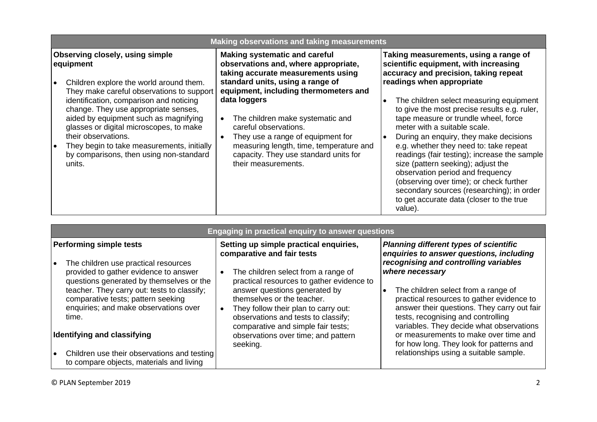| <b>Making observations and taking measurements</b>                                                                                                                                                                                                                                                                                                                                                                                                           |                                                                                                                                                                                                                                                                                                                                                                                                              |                                                                                                                                                                                                                                                                                                                                                                                                                                                                                                                                                                                                                                                                                      |
|--------------------------------------------------------------------------------------------------------------------------------------------------------------------------------------------------------------------------------------------------------------------------------------------------------------------------------------------------------------------------------------------------------------------------------------------------------------|--------------------------------------------------------------------------------------------------------------------------------------------------------------------------------------------------------------------------------------------------------------------------------------------------------------------------------------------------------------------------------------------------------------|--------------------------------------------------------------------------------------------------------------------------------------------------------------------------------------------------------------------------------------------------------------------------------------------------------------------------------------------------------------------------------------------------------------------------------------------------------------------------------------------------------------------------------------------------------------------------------------------------------------------------------------------------------------------------------------|
| <b>Observing closely, using simple</b><br>equipment<br>Children explore the world around them.<br>They make careful observations to support<br>data loggers<br>identification, comparison and noticing<br>change. They use appropriate senses,<br>aided by equipment such as magnifying<br>glasses or digital microscopes, to make<br>their observations.<br>They begin to take measurements, initially<br>by comparisons, then using non-standard<br>units. | <b>Making systematic and careful</b><br>observations and, where appropriate,<br>taking accurate measurements using<br>standard units, using a range of<br>equipment, including thermometers and<br>The children make systematic and<br>careful observations.<br>They use a range of equipment for<br>measuring length, time, temperature and<br>capacity. They use standard units for<br>their measurements. | Taking measurements, using a range of<br>scientific equipment, with increasing<br>accuracy and precision, taking repeat<br>readings when appropriate<br>The children select measuring equipment<br>to give the most precise results e.g. ruler,<br>tape measure or trundle wheel, force<br>meter with a suitable scale.<br>During an enquiry, they make decisions<br>e.g. whether they need to: take repeat<br>readings (fair testing); increase the sample<br>size (pattern seeking); adjust the<br>observation period and frequency<br>(observing over time); or check further<br>secondary sources (researching); in order<br>to get accurate data (closer to the true<br>value). |

| Engaging in practical enquiry to answer questions                                                                                                                                                                                                                                                                                 |                                                                                                                                                                                                                                                                                                                                                                                     |                                                                                                                                                                                                                                                                                                                                                                                                                                  |
|-----------------------------------------------------------------------------------------------------------------------------------------------------------------------------------------------------------------------------------------------------------------------------------------------------------------------------------|-------------------------------------------------------------------------------------------------------------------------------------------------------------------------------------------------------------------------------------------------------------------------------------------------------------------------------------------------------------------------------------|----------------------------------------------------------------------------------------------------------------------------------------------------------------------------------------------------------------------------------------------------------------------------------------------------------------------------------------------------------------------------------------------------------------------------------|
| <b>Performing simple tests</b><br>The children use practical resources<br>provided to gather evidence to answer<br>questions generated by themselves or the<br>teacher. They carry out: tests to classify;<br>comparative tests; pattern seeking<br>enquiries; and make observations over<br>time.<br>Identifying and classifying | Setting up simple practical enquiries,<br>comparative and fair tests<br>The children select from a range of<br>practical resources to gather evidence to<br>answer questions generated by<br>themselves or the teacher.<br>They follow their plan to carry out:<br>observations and tests to classify;<br>comparative and simple fair tests;<br>observations over time; and pattern | <b>Planning different types of scientific</b><br>enquiries to answer questions, including<br>recognising and controlling variables<br>where necessary<br>The children select from a range of<br>$\bullet$<br>practical resources to gather evidence to<br>answer their questions. They carry out fair<br>tests, recognising and controlling<br>variables. They decide what observations<br>or measurements to make over time and |
| Children use their observations and testing<br>to compare objects, materials and living                                                                                                                                                                                                                                           | seeking.                                                                                                                                                                                                                                                                                                                                                                            | for how long. They look for patterns and<br>relationships using a suitable sample.                                                                                                                                                                                                                                                                                                                                               |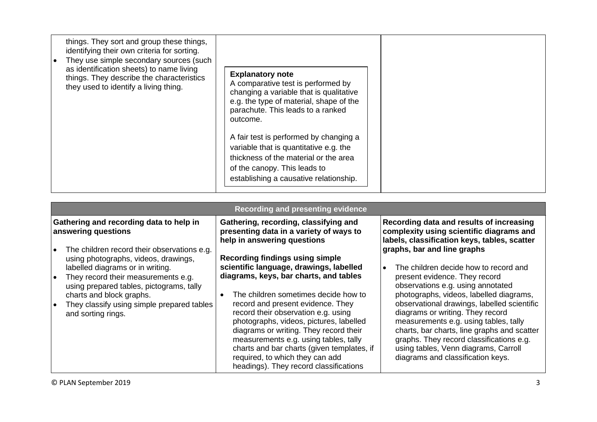| ∣ ● | things. They sort and group these things,<br>identifying their own criteria for sorting.<br>They use simple secondary sources (such<br>as identification sheets) to name living<br>things. They describe the characteristics<br>they used to identify a living thing. | <b>Explanatory note</b><br>A comparative test is performed by<br>changing a variable that is qualitative<br>e.g. the type of material, shape of the<br>parachute. This leads to a ranked<br>outcome. |  |
|-----|-----------------------------------------------------------------------------------------------------------------------------------------------------------------------------------------------------------------------------------------------------------------------|------------------------------------------------------------------------------------------------------------------------------------------------------------------------------------------------------|--|
|     |                                                                                                                                                                                                                                                                       | A fair test is performed by changing a<br>variable that is quantitative e.g. the<br>thickness of the material or the area<br>of the canopy. This leads to<br>establishing a causative relationship.  |  |

| <b>Recording and presenting evidence</b>                                                                                                                                                                                                                                                                                                                                                         |                                                                                                                                                                                                                                                                                                                                                                                                                                                                                                                                                                                                                             |                                                                                                                                                                                                                                                                                                                                                                                                                                                                                                                                                                                                                                                |  |
|--------------------------------------------------------------------------------------------------------------------------------------------------------------------------------------------------------------------------------------------------------------------------------------------------------------------------------------------------------------------------------------------------|-----------------------------------------------------------------------------------------------------------------------------------------------------------------------------------------------------------------------------------------------------------------------------------------------------------------------------------------------------------------------------------------------------------------------------------------------------------------------------------------------------------------------------------------------------------------------------------------------------------------------------|------------------------------------------------------------------------------------------------------------------------------------------------------------------------------------------------------------------------------------------------------------------------------------------------------------------------------------------------------------------------------------------------------------------------------------------------------------------------------------------------------------------------------------------------------------------------------------------------------------------------------------------------|--|
| Gathering and recording data to help in<br>answering questions<br>The children record their observations e.g.<br>using photographs, videos, drawings,<br>labelled diagrams or in writing.<br>They record their measurements e.g.<br>$\bullet$<br>using prepared tables, pictograms, tally<br>charts and block graphs.<br>They classify using simple prepared tables<br>ه ا<br>and sorting rings. | Gathering, recording, classifying and<br>presenting data in a variety of ways to<br>help in answering questions<br><b>Recording findings using simple</b><br>scientific language, drawings, labelled<br>diagrams, keys, bar charts, and tables<br>The children sometimes decide how to<br>record and present evidence. They<br>record their observation e.g. using<br>photographs, videos, pictures, labelled<br>diagrams or writing. They record their<br>measurements e.g. using tables, tally<br>charts and bar charts (given templates, if<br>required, to which they can add<br>headings). They record classifications | Recording data and results of increasing<br>complexity using scientific diagrams and<br>labels, classification keys, tables, scatter<br>graphs, bar and line graphs<br>The children decide how to record and<br>$\bullet$<br>present evidence. They record<br>observations e.g. using annotated<br>photographs, videos, labelled diagrams,<br>observational drawings, labelled scientific<br>diagrams or writing. They record<br>measurements e.g. using tables, tally<br>charts, bar charts, line graphs and scatter<br>graphs. They record classifications e.g.<br>using tables, Venn diagrams, Carroll<br>diagrams and classification keys. |  |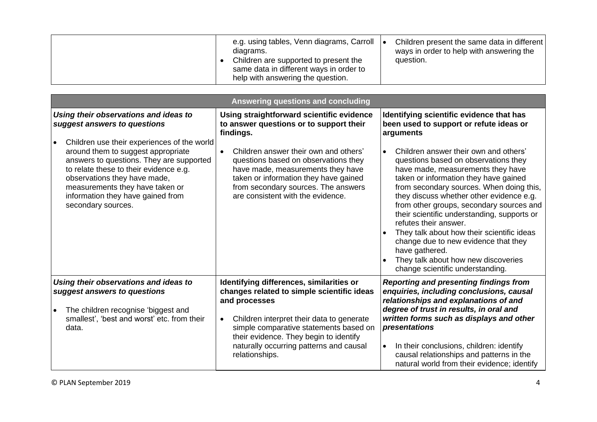| e.g. using tables, Venn diagrams, Carroll<br>diagrams.<br>Children are supported to present the<br>same data in different ways in order to<br>help with answering the question. | Children present the same data in different<br>ways in order to help with answering the<br>question. |
|---------------------------------------------------------------------------------------------------------------------------------------------------------------------------------|------------------------------------------------------------------------------------------------------|
|---------------------------------------------------------------------------------------------------------------------------------------------------------------------------------|------------------------------------------------------------------------------------------------------|

| Answering questions and concluding                                                                                                                                                                                                                                                                                                                                             |                                                                                                                                                                                                                                                                                                                                                           |                                                                                                                                                                                                                                                                                                                                                                                                                                                                                                                                                                                                                                                                                          |
|--------------------------------------------------------------------------------------------------------------------------------------------------------------------------------------------------------------------------------------------------------------------------------------------------------------------------------------------------------------------------------|-----------------------------------------------------------------------------------------------------------------------------------------------------------------------------------------------------------------------------------------------------------------------------------------------------------------------------------------------------------|------------------------------------------------------------------------------------------------------------------------------------------------------------------------------------------------------------------------------------------------------------------------------------------------------------------------------------------------------------------------------------------------------------------------------------------------------------------------------------------------------------------------------------------------------------------------------------------------------------------------------------------------------------------------------------------|
| Using their observations and ideas to<br>suggest answers to questions<br>Children use their experiences of the world<br>around them to suggest appropriate<br>answers to questions. They are supported<br>to relate these to their evidence e.g.<br>observations they have made,<br>measurements they have taken or<br>information they have gained from<br>secondary sources. | Using straightforward scientific evidence<br>to answer questions or to support their<br>findings.<br>Children answer their own and others'<br>$\bullet$<br>questions based on observations they<br>have made, measurements they have<br>taken or information they have gained<br>from secondary sources. The answers<br>are consistent with the evidence. | Identifying scientific evidence that has<br>been used to support or refute ideas or<br>arguments<br>Children answer their own and others'<br>$\bullet$<br>questions based on observations they<br>have made, measurements they have<br>taken or information they have gained<br>from secondary sources. When doing this,<br>they discuss whether other evidence e.g.<br>from other groups, secondary sources and<br>their scientific understanding, supports or<br>refutes their answer.<br>They talk about how their scientific ideas<br>change due to new evidence that they<br>have gathered.<br>They talk about how new discoveries<br>$\bullet$<br>change scientific understanding. |
| Using their observations and ideas to<br>suggest answers to questions<br>The children recognise 'biggest and<br>smallest', 'best and worst' etc. from their<br>data.                                                                                                                                                                                                           | Identifying differences, similarities or<br>changes related to simple scientific ideas<br>and processes<br>Children interpret their data to generate<br>$\bullet$<br>simple comparative statements based on<br>their evidence. They begin to identify<br>naturally occurring patterns and causal<br>relationships.                                        | <b>Reporting and presenting findings from</b><br>enquiries, including conclusions, causal<br>relationships and explanations of and<br>degree of trust in results, in oral and<br>written forms such as displays and other<br>presentations<br>In their conclusions, children: identify<br>$\bullet$<br>causal relationships and patterns in the<br>natural world from their evidence; identify                                                                                                                                                                                                                                                                                           |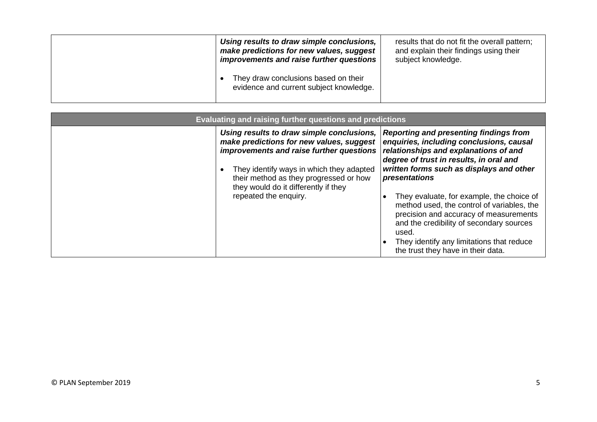| Using results to draw simple conclusions,<br>make predictions for new values, suggest<br>improvements and raise further questions | results that do not fit the overall pattern;<br>and explain their findings using their<br>subject knowledge. |
|-----------------------------------------------------------------------------------------------------------------------------------|--------------------------------------------------------------------------------------------------------------|
| They draw conclusions based on their<br>evidence and current subject knowledge.                                                   |                                                                                                              |

| Evaluating and raising further questions and predictions |                                                                                                                                                                                                                                                                                          |                                                                                                                                                                                                                                                                                                                                                                                                                                                                                                                         |
|----------------------------------------------------------|------------------------------------------------------------------------------------------------------------------------------------------------------------------------------------------------------------------------------------------------------------------------------------------|-------------------------------------------------------------------------------------------------------------------------------------------------------------------------------------------------------------------------------------------------------------------------------------------------------------------------------------------------------------------------------------------------------------------------------------------------------------------------------------------------------------------------|
|                                                          | Using results to draw simple conclusions,<br>make predictions for new values, suggest<br>improvements and raise further questions<br>They identify ways in which they adapted<br>their method as they progressed or how<br>they would do it differently if they<br>repeated the enquiry. | <b>Reporting and presenting findings from</b><br>enquiries, including conclusions, causal<br>relationships and explanations of and<br>degree of trust in results, in oral and<br>written forms such as displays and other<br>presentations<br>They evaluate, for example, the choice of<br>method used, the control of variables, the<br>precision and accuracy of measurements<br>and the credibility of secondary sources<br>used.<br>They identify any limitations that reduce<br>the trust they have in their data. |